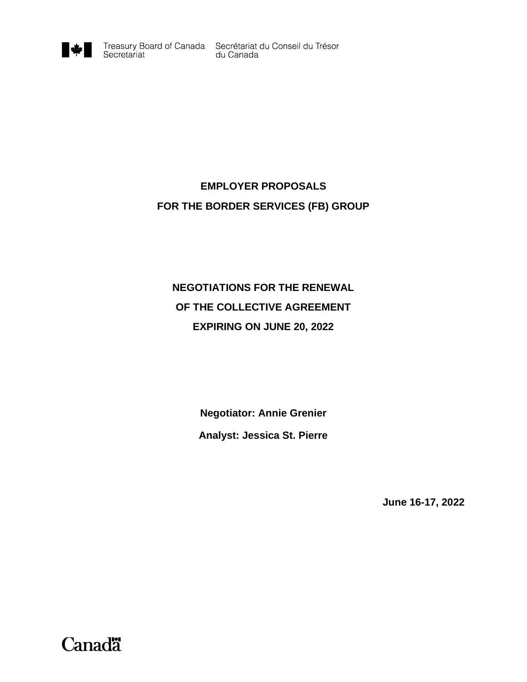

# **EMPLOYER PROPOSALS FOR THE BORDER SERVICES (FB) GROUP**

# **NEGOTIATIONS FOR THE RENEWAL OF THE COLLECTIVE AGREEMENT EXPIRING ON JUNE 20, 2022**

**Negotiator: Annie Grenier Analyst: Jessica St. Pierre**

**June 16-17, 2022**

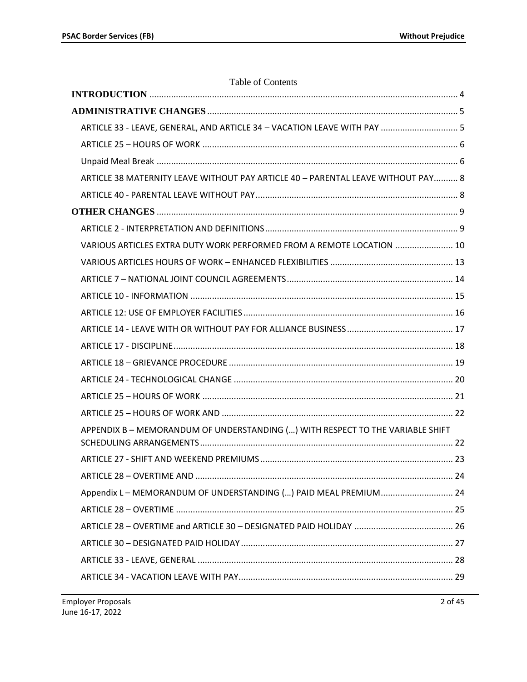| Table of Contents                                                                |    |
|----------------------------------------------------------------------------------|----|
|                                                                                  |    |
|                                                                                  |    |
| ARTICLE 33 - LEAVE, GENERAL, AND ARTICLE 34 - VACATION LEAVE WITH PAY  5         |    |
|                                                                                  |    |
|                                                                                  |    |
| ARTICLE 38 MATERNITY LEAVE WITHOUT PAY ARTICLE 40 - PARENTAL LEAVE WITHOUT PAY 8 |    |
|                                                                                  |    |
|                                                                                  |    |
|                                                                                  |    |
| VARIOUS ARTICLES EXTRA DUTY WORK PERFORMED FROM A REMOTE LOCATION  10            |    |
|                                                                                  |    |
|                                                                                  |    |
|                                                                                  |    |
|                                                                                  |    |
|                                                                                  |    |
|                                                                                  |    |
|                                                                                  |    |
|                                                                                  |    |
|                                                                                  |    |
|                                                                                  |    |
| APPENDIX B - MEMORANDUM OF UNDERSTANDING () WITH RESPECT TO THE VARIABLE SHIFT   |    |
|                                                                                  | 23 |
|                                                                                  |    |
| Appendix L - MEMORANDUM OF UNDERSTANDING () PAID MEAL PREMIUM 24                 |    |
|                                                                                  |    |
|                                                                                  |    |
|                                                                                  |    |
|                                                                                  |    |
|                                                                                  |    |
|                                                                                  |    |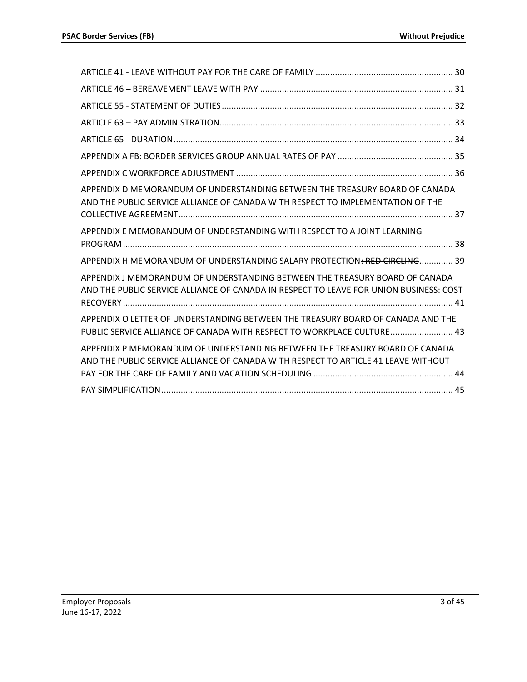| APPENDIX D MEMORANDUM OF UNDERSTANDING BETWEEN THE TREASURY BOARD OF CANADA<br>AND THE PUBLIC SERVICE ALLIANCE OF CANADA WITH RESPECT TO IMPLEMENTATION OF THE        |
|-----------------------------------------------------------------------------------------------------------------------------------------------------------------------|
| APPENDIX E MEMORANDUM OF UNDERSTANDING WITH RESPECT TO A JOINT LEARNING                                                                                               |
| APPENDIX H MEMORANDUM OF UNDERSTANDING SALARY PROTECTION <del>: RED CIRCLING</del> 39                                                                                 |
| APPENDIX J MEMORANDUM OF UNDERSTANDING BETWEEN THE TREASURY BOARD OF CANADA<br>AND THE PUBLIC SERVICE ALLIANCE OF CANADA IN RESPECT TO LEAVE FOR UNION BUSINESS: COST |
| APPENDIX O LETTER OF UNDERSTANDING BETWEEN THE TREASURY BOARD OF CANADA AND THE<br>PUBLIC SERVICE ALLIANCE OF CANADA WITH RESPECT TO WORKPLACE CULTURE 43             |
| APPENDIX P MEMORANDUM OF UNDERSTANDING BETWEEN THE TREASURY BOARD OF CANADA<br>AND THE PUBLIC SERVICE ALLIANCE OF CANADA WITH RESPECT TO ARTICLE 41 LEAVE WITHOUT     |
|                                                                                                                                                                       |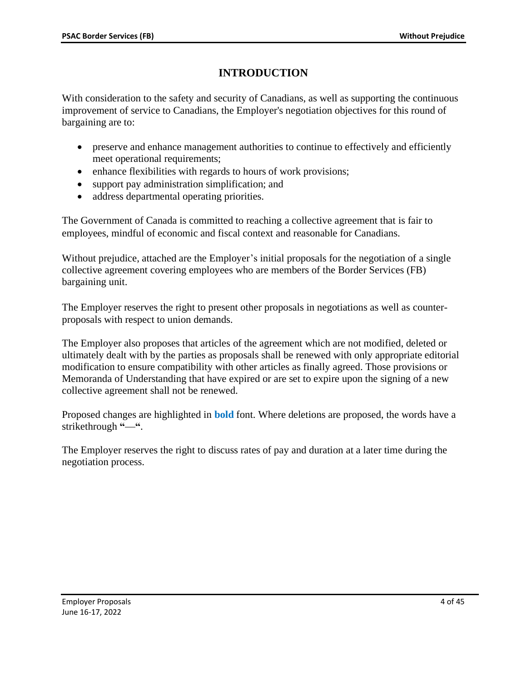# **INTRODUCTION**

<span id="page-3-0"></span>With consideration to the safety and security of Canadians, as well as supporting the continuous improvement of service to Canadians, the Employer's negotiation objectives for this round of bargaining are to:

- preserve and enhance management authorities to continue to effectively and efficiently meet operational requirements;
- enhance flexibilities with regards to hours of work provisions;
- support pay administration simplification; and
- address departmental operating priorities.

The Government of Canada is committed to reaching a collective agreement that is fair to employees, mindful of economic and fiscal context and reasonable for Canadians.

Without prejudice, attached are the Employer's initial proposals for the negotiation of a single collective agreement covering employees who are members of the Border Services (FB) bargaining unit.

The Employer reserves the right to present other proposals in negotiations as well as counterproposals with respect to union demands.

The Employer also proposes that articles of the agreement which are not modified, deleted or ultimately dealt with by the parties as proposals shall be renewed with only appropriate editorial modification to ensure compatibility with other articles as finally agreed. Those provisions or Memoranda of Understanding that have expired or are set to expire upon the signing of a new collective agreement shall not be renewed.

Proposed changes are highlighted in **bold** font. Where deletions are proposed, the words have a strikethrough "-".

The Employer reserves the right to discuss rates of pay and duration at a later time during the negotiation process.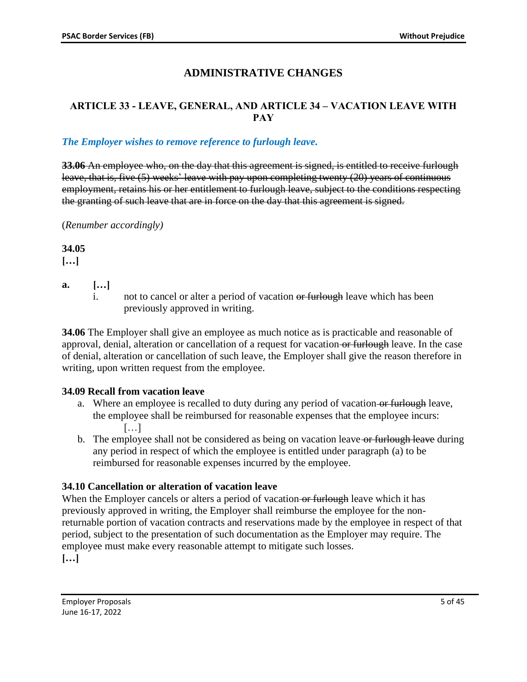# **ADMINISTRATIVE CHANGES**

# <span id="page-4-1"></span><span id="page-4-0"></span>**ARTICLE 33 - LEAVE, GENERAL, AND ARTICLE 34 – VACATION LEAVE WITH PAY**

### *The Employer wishes to remove reference to furlough leave.*

**33.06** An employee who, on the day that this agreement is signed, is entitled to receive furlough leave, that is, five (5) weeks' leave with pay upon completing twenty (20) years of continuous employment, retains his or her entitlement to furlough leave, subject to the conditions respecting the granting of such leave that are in force on the day that this agreement is signed.

(*Renumber accordingly)*

**34.05**

**[…]**

- **a. […]**
	- i. not to cancel or alter a period of vacation or furlough leave which has been previously approved in writing.

**34.06** The Employer shall give an employee as much notice as is practicable and reasonable of approval, denial, alteration or cancellation of a request for vacation or furlough leave. In the case of denial, alteration or cancellation of such leave, the Employer shall give the reason therefore in writing, upon written request from the employee.

# **34.09 Recall from vacation leave**

- a. Where an employee is recalled to duty during any period of vacation or furlough leave, the employee shall be reimbursed for reasonable expenses that the employee incurs:  $[\ldots]$
- b. The employee shall not be considered as being on vacation leave-or furlough leave during any period in respect of which the employee is entitled under paragraph (a) to be reimbursed for reasonable expenses incurred by the employee.

# **34.10 Cancellation or alteration of vacation leave**

When the Employer cancels or alters a period of vacation or furlough leave which it has previously approved in writing, the Employer shall reimburse the employee for the nonreturnable portion of vacation contracts and reservations made by the employee in respect of that period, subject to the presentation of such documentation as the Employer may require. The employee must make every reasonable attempt to mitigate such losses. **[…]**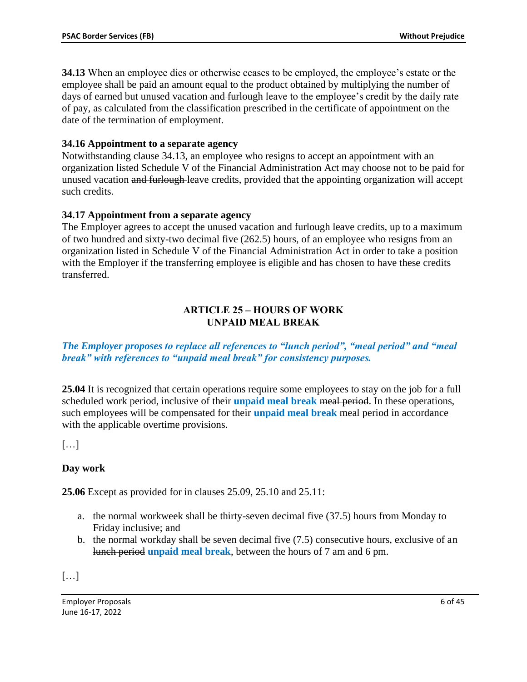**34.13** When an employee dies or otherwise ceases to be employed, the employee's estate or the employee shall be paid an amount equal to the product obtained by multiplying the number of days of earned but unused vacation and furlough leave to the employee's credit by the daily rate of pay, as calculated from the classification prescribed in the certificate of appointment on the date of the termination of employment.

### **34.16 Appointment to a separate agency**

Notwithstanding clause 34.13, an employee who resigns to accept an appointment with an organization listed Schedule V of the Financial Administration Act may choose not to be paid for unused vacation and furlough leave credits, provided that the appointing organization will accept such credits.

### **34.17 Appointment from a separate agency**

The Employer agrees to accept the unused vacation and furlough-leave credits, up to a maximum of two hundred and sixty-two decimal five (262.5) hours, of an employee who resigns from an organization listed in Schedule V of the Financial Administration Act in order to take a position with the Employer if the transferring employee is eligible and has chosen to have these credits transferred.

### **ARTICLE 25 – HOURS OF WORK UNPAID MEAL BREAK**

<span id="page-5-1"></span><span id="page-5-0"></span>*The Employer proposes to replace all references to "lunch period", "meal period" and "meal break" with references to "unpaid meal break" for consistency purposes.*

**25.04** It is recognized that certain operations require some employees to stay on the job for a full scheduled work period, inclusive of their **unpaid meal break** meal period. In these operations, such employees will be compensated for their **unpaid meal break** meal period in accordance with the applicable overtime provisions.

 $\lceil$ ...]

# **Day work**

**25.06** Except as provided for in clauses 25.09, 25.10 and 25.11:

- a. the normal workweek shall be thirty-seven decimal five (37.5) hours from Monday to Friday inclusive; and
- b. the normal workday shall be seven decimal five (7.5) consecutive hours, exclusive of an lunch period **unpaid meal break**, between the hours of 7 am and 6 pm.

 $\lceil \dots \rceil$ 

Employer Proposals 6 of 45 June 16-17, 2022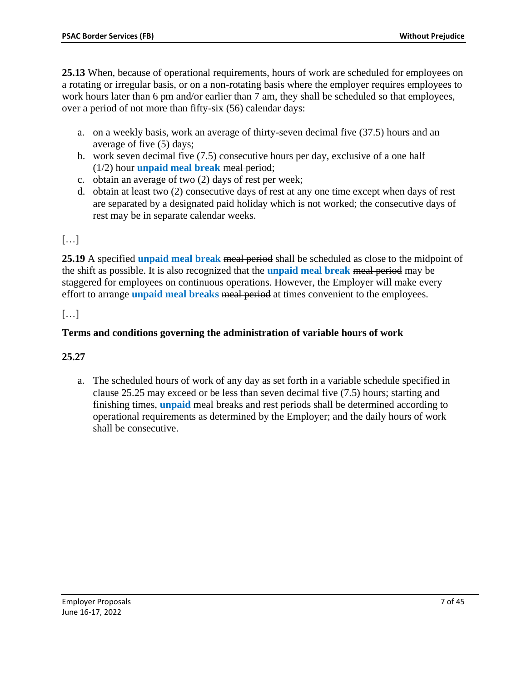**25.13** When, because of operational requirements, hours of work are scheduled for employees on a rotating or irregular basis, or on a non-rotating basis where the employer requires employees to work hours later than 6 pm and/or earlier than 7 am, they shall be scheduled so that employees, over a period of not more than fifty-six (56) calendar days:

- a. on a weekly basis, work an average of thirty-seven decimal five (37.5) hours and an average of five (5) days;
- b. work seven decimal five (7.5) consecutive hours per day, exclusive of a one half (1/2) hour **unpaid meal break** meal period;
- c. obtain an average of two (2) days of rest per week;
- d. obtain at least two (2) consecutive days of rest at any one time except when days of rest are separated by a designated paid holiday which is not worked; the consecutive days of rest may be in separate calendar weeks.

# $\lceil$ ...]

**25.19** A specified **unpaid meal break** meal period shall be scheduled as close to the midpoint of the shift as possible. It is also recognized that the **unpaid meal break** meal period may be staggered for employees on continuous operations. However, the Employer will make every effort to arrange **unpaid meal breaks** meal period at times convenient to the employees.

# […]

# **Terms and conditions governing the administration of variable hours of work**

# **25.27**

a. The scheduled hours of work of any day as set forth in a variable schedule specified in clause 25.25 may exceed or be less than seven decimal five (7.5) hours; starting and finishing times, **unpaid** meal breaks and rest periods shall be determined according to operational requirements as determined by the Employer; and the daily hours of work shall be consecutive.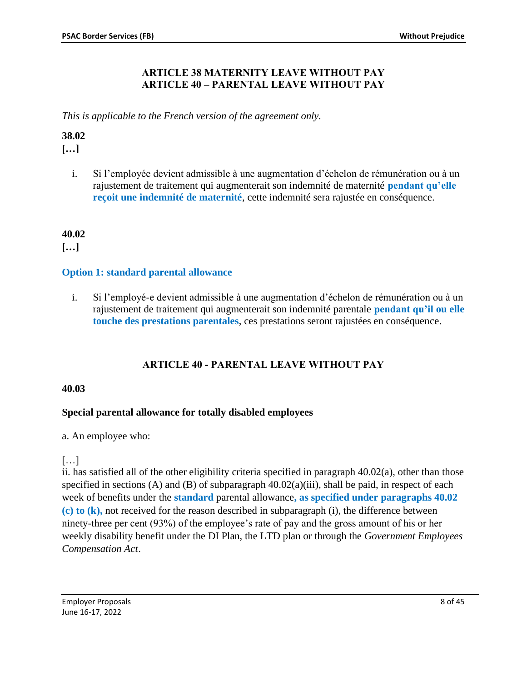### **ARTICLE 38 MATERNITY LEAVE WITHOUT PAY ARTICLE 40 – PARENTAL LEAVE WITHOUT PAY**

<span id="page-7-0"></span>*This is applicable to the French version of the agreement only.*

### **38.02**

**[…]**

i. Si l'employée devient admissible à une augmentation d'échelon de rémunération ou à un rajustement de traitement qui augmenterait son indemnité de maternité **pendant qu'elle reçoit une indemnité de maternité**, cette indemnité sera rajustée en conséquence.

# **40.02**

**[…]**

# **Option 1: standard parental allowance**

i. Si l'employé-e devient admissible à une augmentation d'échelon de rémunération ou à un rajustement de traitement qui augmenterait son indemnité parentale **pendant qu'il ou elle touche des prestations parentales**, ces prestations seront rajustées en conséquence.

# **ARTICLE 40 - PARENTAL LEAVE WITHOUT PAY**

#### <span id="page-7-1"></span>**40.03**

# **Special parental allowance for totally disabled employees**

a. An employee who:

# $[\ldots]$

ii. has satisfied all of the other eligibility criteria specified in paragraph 40.02(a), other than those specified in sections (A) and (B) of subparagraph  $40.02(a)(iii)$ , shall be paid, in respect of each week of benefits under the **standard** parental allowance**, as specified under paragraphs 40.02 (c) to (k),** not received for the reason described in subparagraph (i), the difference between ninety-three per cent (93%) of the employee's rate of pay and the gross amount of his or her weekly disability benefit under the DI Plan, the LTD plan or through the *Government Employees Compensation Act*.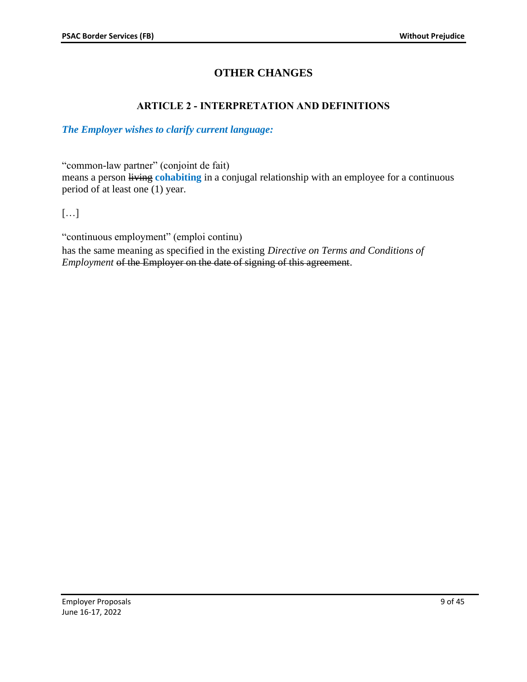# **OTHER CHANGES**

# **ARTICLE 2 - INTERPRETATION AND DEFINITIONS**

### <span id="page-8-1"></span><span id="page-8-0"></span>*The Employer wishes to clarify current language:*

"common-law partner" (conjoint de fait)

means a person *living cohabiting* in a conjugal relationship with an employee for a continuous period of at least one (1) year.

[…]

"continuous employment" (emploi continu) has the same meaning as specified in the existing *Directive on Terms and Conditions of Employment* of the Employer on the date of signing of this agreement.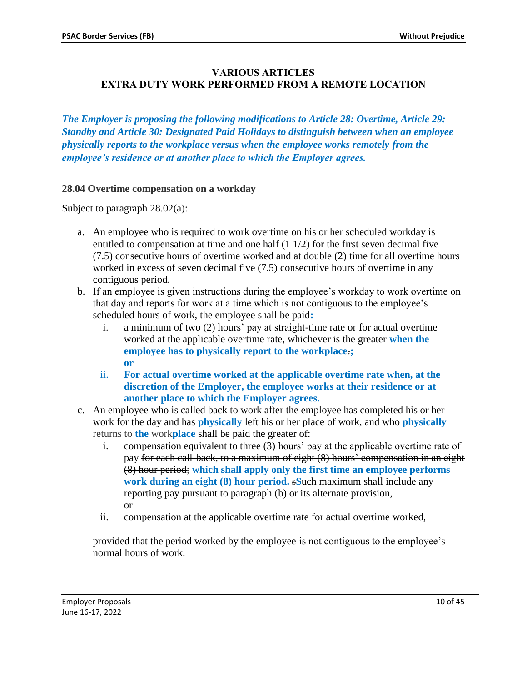# <span id="page-9-0"></span>**VARIOUS ARTICLES EXTRA DUTY WORK PERFORMED FROM A REMOTE LOCATION**

*The Employer is proposing the following modifications to Article 28: Overtime, Article 29: Standby and Article 30: Designated Paid Holidays to distinguish between when an employee physically reports to the workplace versus when the employee works remotely from the employee's residence or at another place to which the Employer agrees.* 

#### **28.04 Overtime compensation on a workday**

Subject to paragraph 28.02(a):

- a. An employee who is required to work overtime on his or her scheduled workday is entitled to compensation at time and one half  $(1 1/2)$  for the first seven decimal five (7.5) consecutive hours of overtime worked and at double (2) time for all overtime hours worked in excess of seven decimal five (7.5) consecutive hours of overtime in any contiguous period.
- b. If an employee is given instructions during the employee's workday to work overtime on that day and reports for work at a time which is not contiguous to the employee's scheduled hours of work, the employee shall be paid**:**
	- i. a minimum of two (2) hours' pay at straight-time rate or for actual overtime worked at the applicable overtime rate, whichever is the greater **when the employee has to physically report to the workplace**.**; or**
	- ii. **For actual overtime worked at the applicable overtime rate when, at the discretion of the Employer, the employee works at their residence or at another place to which the Employer agrees.**
- c. An employee who is called back to work after the employee has completed his or her work for the day and has **physically** left his or her place of work, and who **physically**  returns to **the** work**place** shall be paid the greater of:
	- i. compensation equivalent to three (3) hours' pay at the applicable overtime rate of pay for each call-back, to a maximum of eight (8) hours' compensation in an eight (8) hour period; **which shall apply only the first time an employee performs work during an eight (8) hour period.** s**S**uch maximum shall include any reporting pay pursuant to paragraph (b) or its alternate provision, or
	- ii. compensation at the applicable overtime rate for actual overtime worked,

provided that the period worked by the employee is not contiguous to the employee's normal hours of work.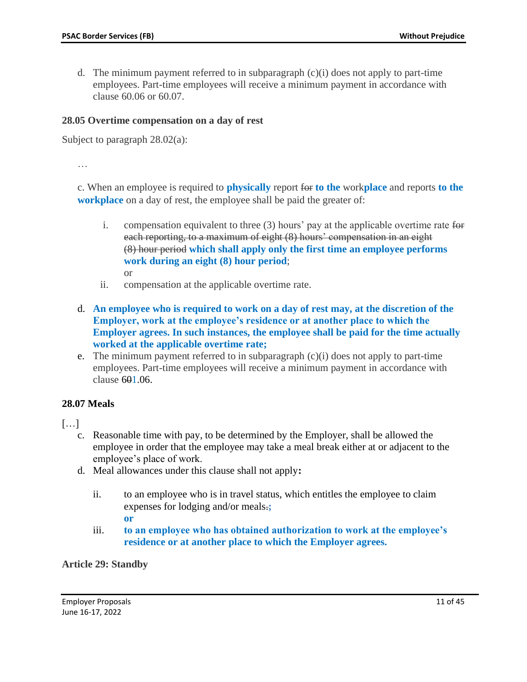d. The minimum payment referred to in subparagraph (c)(i) does not apply to part-time employees. Part-time employees will receive a minimum payment in accordance with clause 60.06 or 60.07.

#### **28.05 Overtime compensation on a day of rest**

Subject to paragraph 28.02(a):

…

c. When an employee is required to **physically** report for **to the** work**place** and reports **to the workplace** on a day of rest, the employee shall be paid the greater of:

- i. compensation equivalent to three  $(3)$  hours' pay at the applicable overtime rate for each reporting, to a maximum of eight (8) hours' compensation in an eight (8) hour period **which shall apply only the first time an employee performs work during an eight (8) hour period**; or
- ii. compensation at the applicable overtime rate.
- d. **An employee who is required to work on a day of rest may, at the discretion of the Employer, work at the employee's residence or at another place to which the Employer agrees. In such instances, the employee shall be paid for the time actually worked at the applicable overtime rate;**
- e. The minimum payment referred to in subparagraph  $(c)(i)$  does not apply to part-time employees. Part-time employees will receive a minimum payment in accordance with clause  $601.06$ .

#### **28.07 Meals**

 $[...]$ 

- c. Reasonable time with pay, to be determined by the Employer, shall be allowed the employee in order that the employee may take a meal break either at or adjacent to the employee's place of work.
- d. Meal allowances under this clause shall not apply**:**
	- ii. to an employee who is in travel status, which entitles the employee to claim expenses for lodging and/or meals.**;**
		- **or**
	- iii. **to an employee who has obtained authorization to work at the employee's residence or at another place to which the Employer agrees.**

**Article 29: Standby**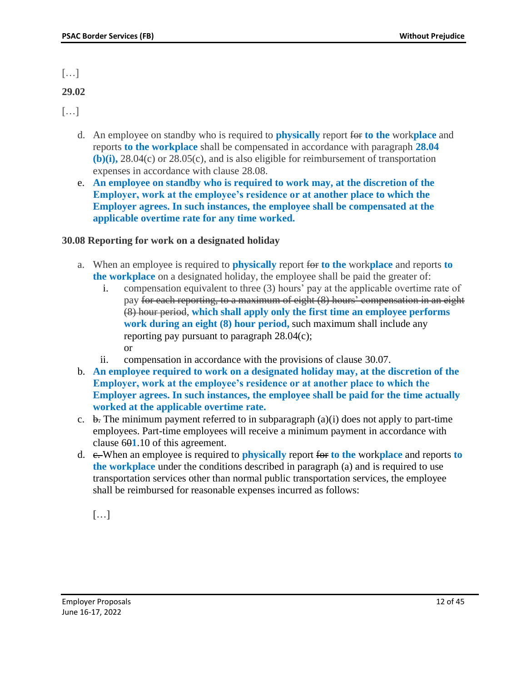$\left[\ldots\right]$ 

# **29.02**

 $\lceil \dots \rceil$ 

- d. An employee on standby who is required to **physically** report for **to the** work**place** and reports **to the workplace** shall be compensated in accordance with paragraph **28.04 (b)(i),** 28.04(c) or 28.05(c), and is also eligible for reimbursement of transportation expenses in accordance with clause 28.08.
- e. **An employee on standby who is required to work may, at the discretion of the Employer, work at the employee's residence or at another place to which the Employer agrees. In such instances, the employee shall be compensated at the applicable overtime rate for any time worked.**

# **30.08 Reporting for work on a designated holiday**

- a. When an employee is required to **physically** report for **to the** work**place** and reports **to the workplace** on a designated holiday, the employee shall be paid the greater of:
	- i. compensation equivalent to three (3) hours' pay at the applicable overtime rate of pay for each reporting, to a maximum of eight (8) hours' compensation in an eight (8) hour period, **which shall apply only the first time an employee performs work during an eight (8) hour period,** such maximum shall include any reporting pay pursuant to paragraph 28.04(c); or
	- ii. compensation in accordance with the provisions of clause 30.07.
- b. **An employee required to work on a designated holiday may, at the discretion of the Employer, work at the employee's residence or at another place to which the Employer agrees. In such instances, the employee shall be paid for the time actually worked at the applicable overtime rate.**
- c.  $\overline{b}$ . The minimum payment referred to in subparagraph (a)(i) does not apply to part-time employees. Part-time employees will receive a minimum payment in accordance with clause 60**1**.10 of this agreement.
- d. c. When an employee is required to **physically** report for **to the** work**place** and reports **to the workplace** under the conditions described in paragraph (a) and is required to use transportation services other than normal public transportation services, the employee shall be reimbursed for reasonable expenses incurred as follows:

[…]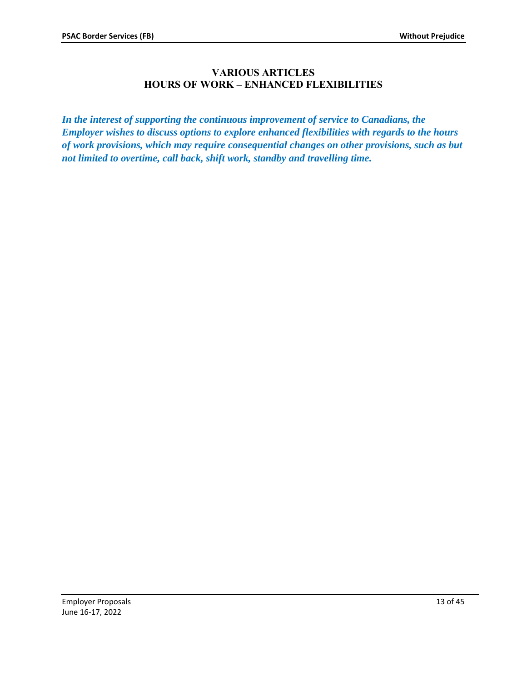# **VARIOUS ARTICLES HOURS OF WORK – ENHANCED FLEXIBILITIES**

<span id="page-12-0"></span>*In the interest of supporting the continuous improvement of service to Canadians, the Employer wishes to discuss options to explore enhanced flexibilities with regards to the hours of work provisions, which may require consequential changes on other provisions, such as but not limited to overtime, call back, shift work, standby and travelling time.*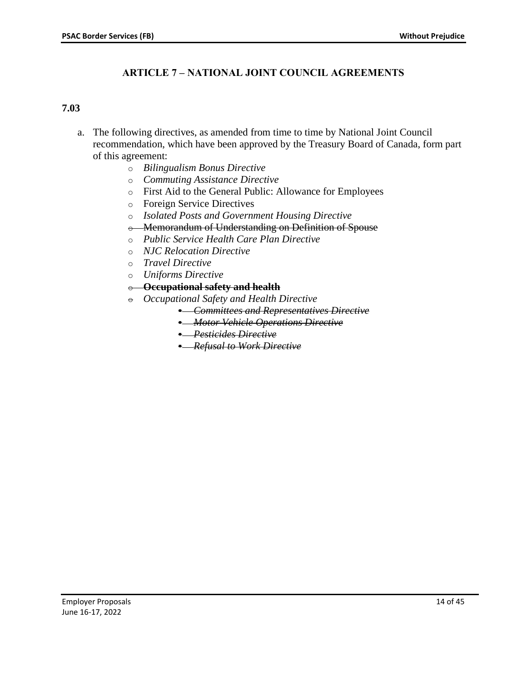# **ARTICLE 7 – NATIONAL JOINT COUNCIL AGREEMENTS**

#### <span id="page-13-0"></span>**7.03**

- a. The following directives, as amended from time to time by National Joint Council recommendation, which have been approved by the Treasury Board of Canada, form part of this agreement:
	- o *Bilingualism Bonus Directive*
	- o *Commuting Assistance Directive*
	- o First Aid to the General Public: Allowance for Employees
	- o Foreign Service Directives
	- o *Isolated Posts and Government Housing Directive*
	- o Memorandum of Understanding on Definition of Spouse
	- o *Public Service Health Care Plan Directive*
	- o *NJC Relocation Directive*
	- o *Travel Directive*
	- o *Uniforms Directive*
	- o **Occupational safety and health**
	- $\theta$  *Occupational Safety and Health Directive* 
		- *Committees and Representatives Directive*
		- *Motor Vehicle Operations Directive*
		- *Pesticides Directive*
		- *Refusal to Work Directive*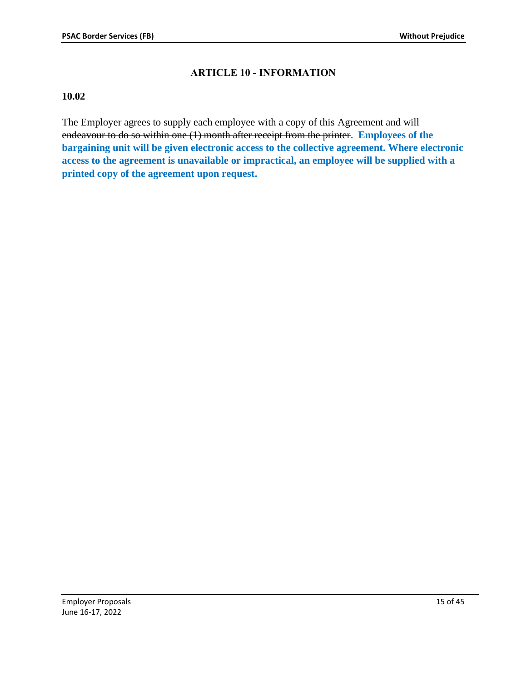# **ARTICLE 10 - INFORMATION**

#### <span id="page-14-0"></span>**10.02**

The Employer agrees to supply each employee with a copy of this Agreement and will endeavour to do so within one (1) month after receipt from the printer. **Employees of the bargaining unit will be given electronic access to the collective agreement. Where electronic access to the agreement is unavailable or impractical, an employee will be supplied with a printed copy of the agreement upon request.**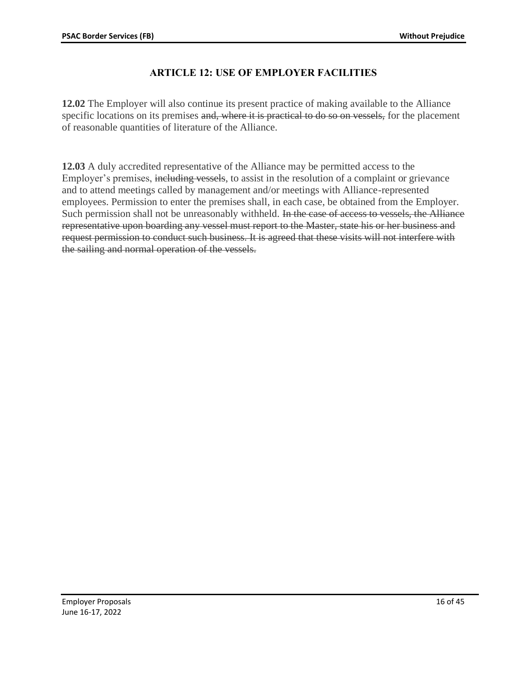# **ARTICLE 12: USE OF EMPLOYER FACILITIES**

<span id="page-15-0"></span>**12.02** The Employer will also continue its present practice of making available to the Alliance specific locations on its premises and, where it is practical to do so on vessels, for the placement of reasonable quantities of literature of the Alliance.

**12.03** A duly accredited representative of the Alliance may be permitted access to the Employer's premises, including vessels, to assist in the resolution of a complaint or grievance and to attend meetings called by management and/or meetings with Alliance-represented employees. Permission to enter the premises shall, in each case, be obtained from the Employer. Such permission shall not be unreasonably withheld. In the case of access to vessels, the Alliance representative upon boarding any vessel must report to the Master, state his or her business and request permission to conduct such business. It is agreed that these visits will not interfere with the sailing and normal operation of the vessels.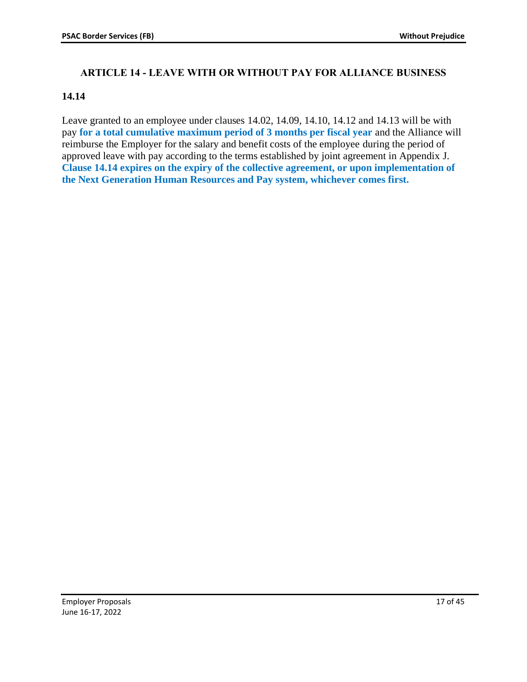# <span id="page-16-0"></span>**ARTICLE 14 - LEAVE WITH OR WITHOUT PAY FOR ALLIANCE BUSINESS**

### **14.14**

Leave granted to an employee under clauses 14.02, 14.09, 14.10, 14.12 and 14.13 will be with pay **for a total cumulative maximum period of 3 months per fiscal year** and the Alliance will reimburse the Employer for the salary and benefit costs of the employee during the period of approved leave with pay according to the terms established by joint agreement in Appendix J. **Clause 14.14 expires on the expiry of the collective agreement, or upon implementation of the Next Generation Human Resources and Pay system, whichever comes first.**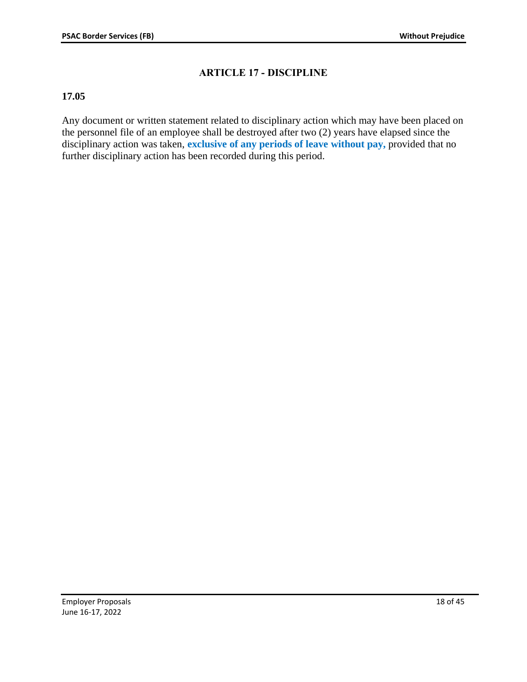# **ARTICLE 17 - DISCIPLINE**

### <span id="page-17-0"></span>**17.05**

Any document or written statement related to disciplinary action which may have been placed on the personnel file of an employee shall be destroyed after two (2) years have elapsed since the disciplinary action was taken, **exclusive of any periods of leave without pay,** provided that no further disciplinary action has been recorded during this period.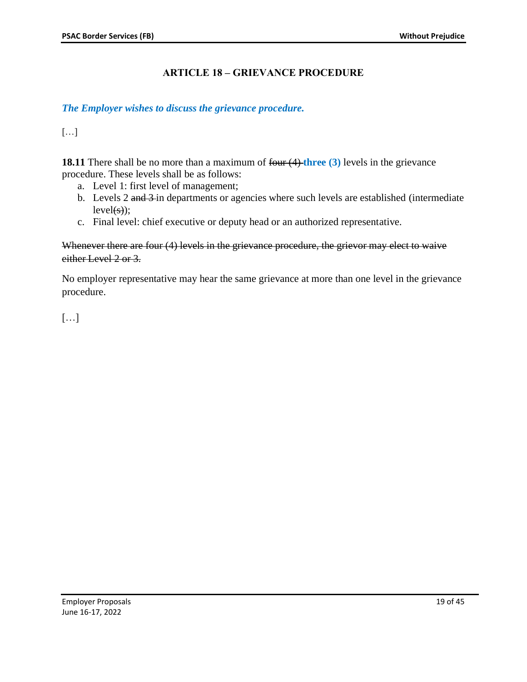# **ARTICLE 18 – GRIEVANCE PROCEDURE**

#### <span id="page-18-0"></span>*The Employer wishes to discuss the grievance procedure.*

[…]

**18.11** There shall be no more than a maximum of four (4) three (3) levels in the grievance procedure. These levels shall be as follows:

- a. Level 1: first level of management;
- b. Levels 2 and 3 in departments or agencies where such levels are established (intermediate  $level(s)$ ;
- c. Final level: chief executive or deputy head or an authorized representative.

#### Whenever there are four (4) levels in the grievance procedure, the grievor may elect to waive either Level 2 or 3.

No employer representative may hear the same grievance at more than one level in the grievance procedure.

[…]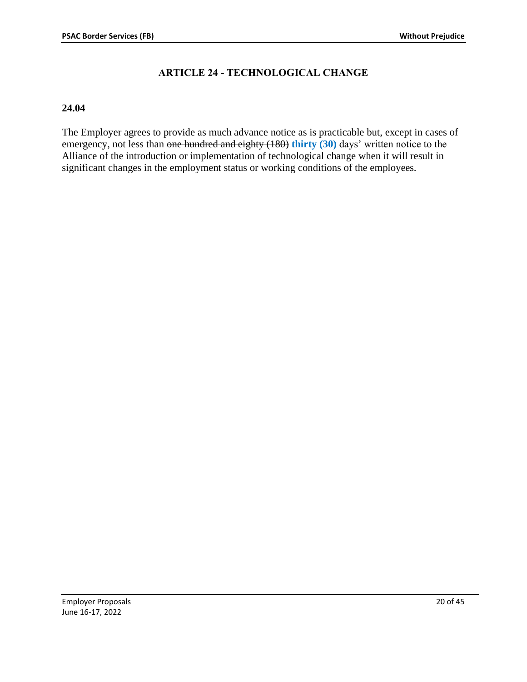# **ARTICLE 24 - TECHNOLOGICAL CHANGE**

#### <span id="page-19-0"></span>**24.04**

The Employer agrees to provide as much advance notice as is practicable but, except in cases of emergency, not less than one hundred and eighty (180) **thirty (30)** days' written notice to the Alliance of the introduction or implementation of technological change when it will result in significant changes in the employment status or working conditions of the employees.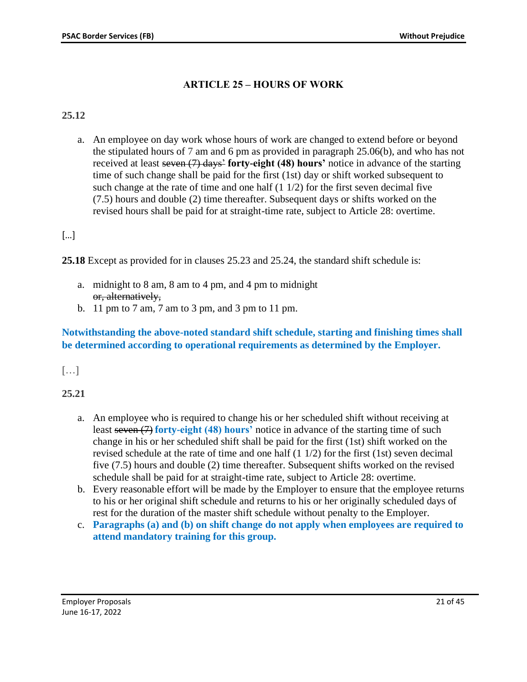# **ARTICLE 25 – HOURS OF WORK**

# <span id="page-20-0"></span>**25.12**

a. An employee on day work whose hours of work are changed to extend before or beyond the stipulated hours of 7 am and 6 pm as provided in paragraph 25.06(b), and who has not received at least seven (7) days' **forty-eight (48) hours'** notice in advance of the starting time of such change shall be paid for the first (1st) day or shift worked subsequent to such change at the rate of time and one half  $(1 1/2)$  for the first seven decimal five (7.5) hours and double (2) time thereafter. Subsequent days or shifts worked on the revised hours shall be paid for at straight-time rate, subject to Article 28: overtime.

# […]

**25.18** Except as provided for in clauses 25.23 and 25.24, the standard shift schedule is:

- a. midnight to 8 am, 8 am to 4 pm, and 4 pm to midnight or, alternatively,
- b. 11 pm to 7 am, 7 am to 3 pm, and 3 pm to 11 pm.

# **Notwithstanding the above-noted standard shift schedule, starting and finishing times shall be determined according to operational requirements as determined by the Employer.**

# […]

**25.21**

- a. An employee who is required to change his or her scheduled shift without receiving at least seven (7) **forty-eight (48) hours'** notice in advance of the starting time of such change in his or her scheduled shift shall be paid for the first (1st) shift worked on the revised schedule at the rate of time and one half (1 1/2) for the first (1st) seven decimal five (7.5) hours and double (2) time thereafter. Subsequent shifts worked on the revised schedule shall be paid for at straight-time rate, subject to Article 28: overtime.
- b. Every reasonable effort will be made by the Employer to ensure that the employee returns to his or her original shift schedule and returns to his or her originally scheduled days of rest for the duration of the master shift schedule without penalty to the Employer.
- c. **Paragraphs (a) and (b) on shift change do not apply when employees are required to attend mandatory training for this group.**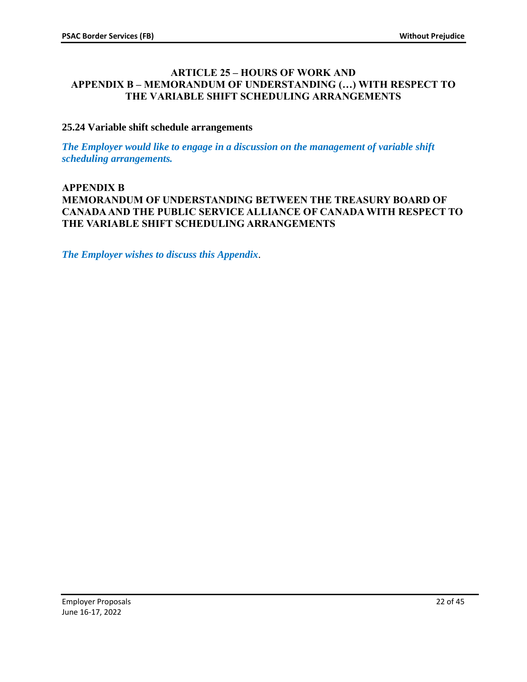#### <span id="page-21-1"></span><span id="page-21-0"></span>**ARTICLE 25 – HOURS OF WORK AND APPENDIX B – MEMORANDUM OF UNDERSTANDING (…) WITH RESPECT TO THE VARIABLE SHIFT SCHEDULING ARRANGEMENTS**

### **25.24 Variable shift schedule arrangements**

*The Employer would like to engage in a discussion on the management of variable shift scheduling arrangements.*

### **APPENDIX B MEMORANDUM OF UNDERSTANDING BETWEEN THE TREASURY BOARD OF CANADA AND THE PUBLIC SERVICE ALLIANCE OF CANADA WITH RESPECT TO THE VARIABLE SHIFT SCHEDULING ARRANGEMENTS**

*The Employer wishes to discuss this Appendix*.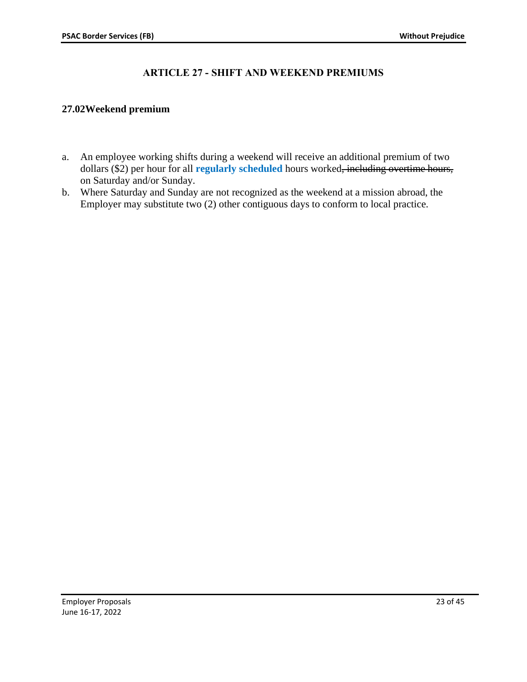# **ARTICLE 27 - SHIFT AND WEEKEND PREMIUMS**

### <span id="page-22-0"></span>**27.02Weekend premium**

- a. An employee working shifts during a weekend will receive an additional premium of two dollars (\$2) per hour for all **regularly scheduled** hours worked, including overtime hours, on Saturday and/or Sunday.
- b. Where Saturday and Sunday are not recognized as the weekend at a mission abroad, the Employer may substitute two (2) other contiguous days to conform to local practice.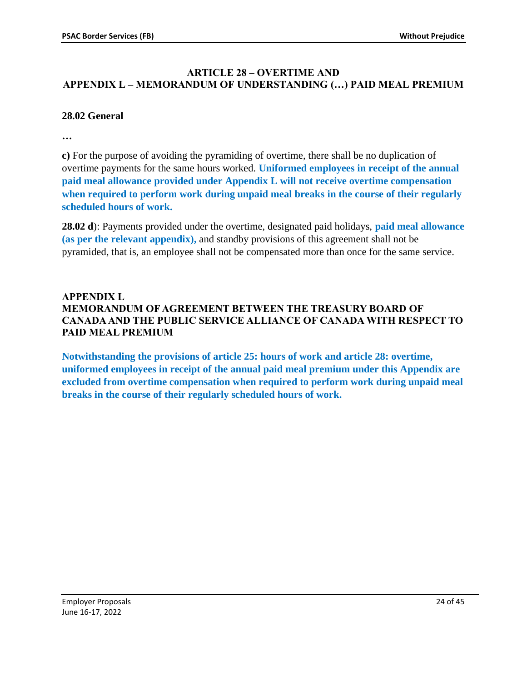# <span id="page-23-1"></span><span id="page-23-0"></span>**ARTICLE 28 – OVERTIME AND APPENDIX L – MEMORANDUM OF UNDERSTANDING (…) PAID MEAL PREMIUM**

### **28.02 General**

**…**

**c)** For the purpose of avoiding the pyramiding of overtime, there shall be no duplication of overtime payments for the same hours worked. **Uniformed employees in receipt of the annual paid meal allowance provided under Appendix L will not receive overtime compensation when required to perform work during unpaid meal breaks in the course of their regularly scheduled hours of work.** 

**28.02 d**): Payments provided under the overtime, designated paid holidays, **paid meal allowance (as per the relevant appendix),** and standby provisions of this agreement shall not be pyramided, that is, an employee shall not be compensated more than once for the same service.

# **APPENDIX L MEMORANDUM OF AGREEMENT BETWEEN THE TREASURY BOARD OF CANADA AND THE PUBLIC SERVICE ALLIANCE OF CANADA WITH RESPECT TO PAID MEAL PREMIUM**

**Notwithstanding the provisions of article 25: hours of work and article 28: overtime, uniformed employees in receipt of the annual paid meal premium under this Appendix are excluded from overtime compensation when required to perform work during unpaid meal breaks in the course of their regularly scheduled hours of work.**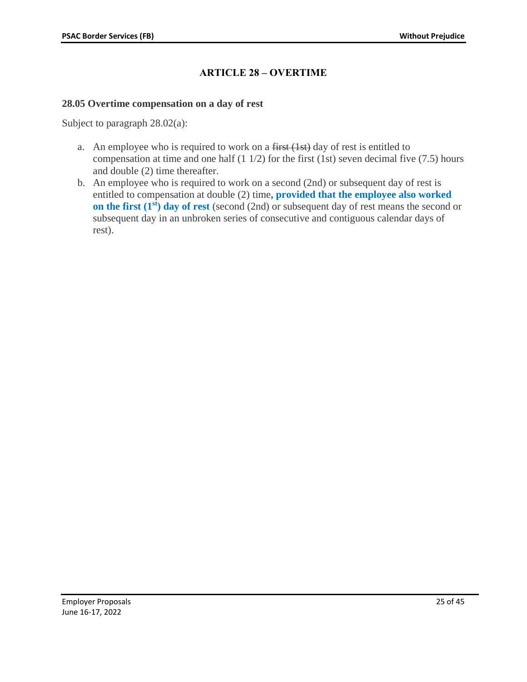# **ARTICLE 28 – OVERTIME**

#### <span id="page-24-0"></span>**28.05 Overtime compensation on a day of rest**

Subject to paragraph  $28.02(a)$ :

- a. An employee who is required to work on a  $f$ irst  $(1st)$  day of rest is entitled to compensation at time and one half  $(1\ 1/2)$  for the first  $(1st)$  seven decimal five  $(7.5)$  hours and double (2) time thereafter.
- b. An employee who is required to work on a second (2nd) or subsequent day of rest is entitled to compensation at double (2) time**, provided that the employee also worked on the first (1<sup>st</sup>) day of rest** (second (2nd) or subsequent day of rest means the second or subsequent day in an unbroken series of consecutive and contiguous calendar days of rest).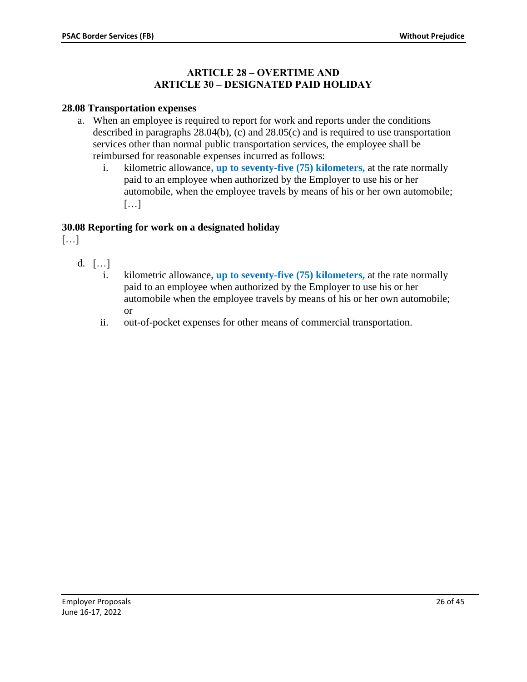### **ARTICLE 28 – OVERTIME AND ARTICLE 30 – DESIGNATED PAID HOLIDAY**

#### <span id="page-25-0"></span>**28.08 Transportation expenses**

- a. When an employee is required to report for work and reports under the conditions described in paragraphs 28.04(b), (c) and 28.05(c) and is required to use transportation services other than normal public transportation services, the employee shall be reimbursed for reasonable expenses incurred as follows:
	- i. kilometric allowance**, up to seventy-five (75) kilometers,** at the rate normally paid to an employee when authorized by the Employer to use his or her automobile, when the employee travels by means of his or her own automobile; […]

#### **30.08 Reporting for work on a designated holiday**

[…]

- d. […]
	- i. kilometric allowance**, up to seventy-five (75) kilometers,** at the rate normally paid to an employee when authorized by the Employer to use his or her automobile when the employee travels by means of his or her own automobile; or
	- ii. out-of-pocket expenses for other means of commercial transportation.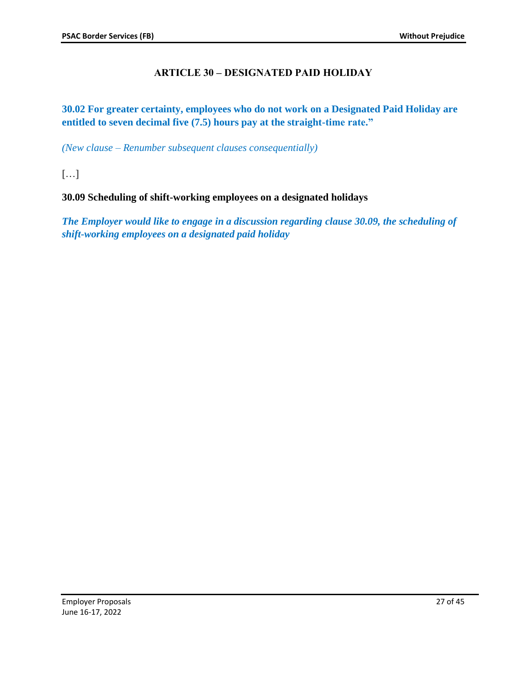# **ARTICLE 30 – DESIGNATED PAID HOLIDAY**

<span id="page-26-0"></span>**30.02 For greater certainty, employees who do not work on a Designated Paid Holiday are entitled to seven decimal five (7.5) hours pay at the straight-time rate."**

*(New clause – Renumber subsequent clauses consequentially)*

[…]

### **30.09 Scheduling of shift-working employees on a designated holidays**

*The Employer would like to engage in a discussion regarding clause 30.09, the scheduling of shift-working employees on a designated paid holiday*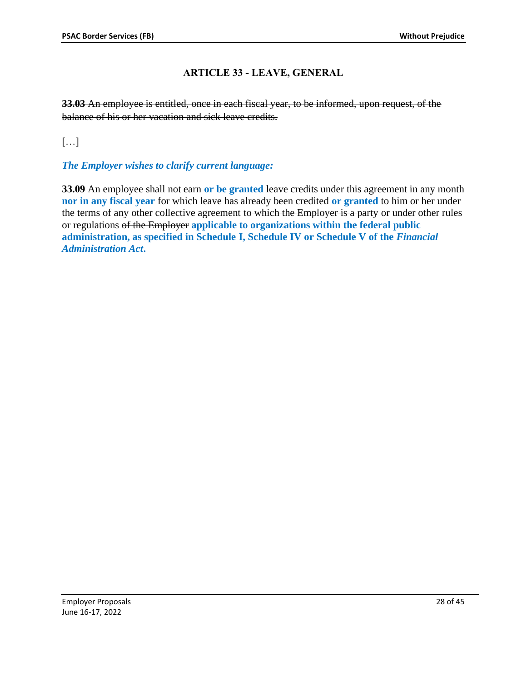# **ARTICLE 33 - LEAVE, GENERAL**

<span id="page-27-0"></span>**33.03** An employee is entitled, once in each fiscal year, to be informed, upon request, of the balance of his or her vacation and sick leave credits.

 $[\ldots]$ 

# *The Employer wishes to clarify current language:*

**33.09** An employee shall not earn **or be granted** leave credits under this agreement in any month **nor in any fiscal year** for which leave has already been credited **or granted** to him or her under the terms of any other collective agreement to which the Employer is a party or under other rules or regulations of the Employer **applicable to organizations within the federal public administration, as specified in Schedule I, Schedule IV or Schedule V of the** *Financial Administration Act***.**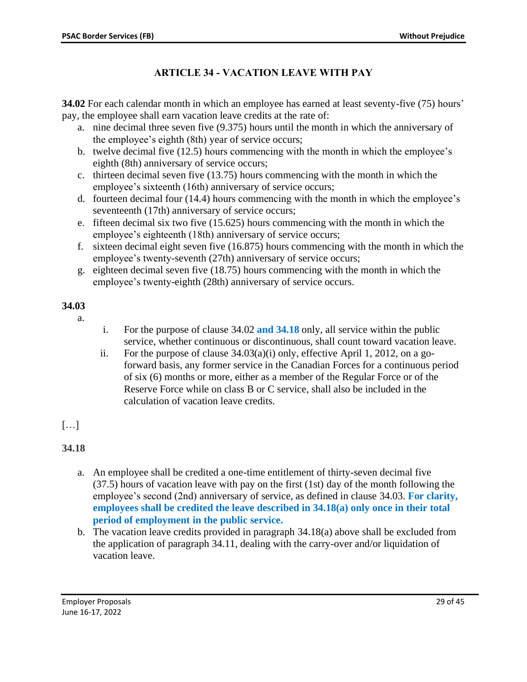# **ARTICLE 34 - VACATION LEAVE WITH PAY**

<span id="page-28-0"></span>**34.02** For each calendar month in which an employee has earned at least seventy-five (75) hours' pay, the employee shall earn vacation leave credits at the rate of:

- a. nine decimal three seven five (9.375) hours until the month in which the anniversary of the employee's eighth (8th) year of service occurs;
- b. twelve decimal five (12.5) hours commencing with the month in which the employee's eighth (8th) anniversary of service occurs;
- c. thirteen decimal seven five (13.75) hours commencing with the month in which the employee's sixteenth (16th) anniversary of service occurs;
- d. fourteen decimal four (14.4) hours commencing with the month in which the employee's seventeenth (17th) anniversary of service occurs;
- e. fifteen decimal six two five (15.625) hours commencing with the month in which the employee's eighteenth (18th) anniversary of service occurs;
- f. sixteen decimal eight seven five (16.875) hours commencing with the month in which the employee's twenty-seventh (27th) anniversary of service occurs;
- g. eighteen decimal seven five (18.75) hours commencing with the month in which the employee's twenty-eighth (28th) anniversary of service occurs.

# **34.03**

- a.
- i. For the purpose of clause 34.02 **and 34.18** only, all service within the public service, whether continuous or discontinuous, shall count toward vacation leave.
- ii. For the purpose of clause  $34.03(a)(i)$  only, effective April 1, 2012, on a goforward basis, any former service in the Canadian Forces for a continuous period of six (6) months or more, either as a member of the Regular Force or of the Reserve Force while on class B or C service, shall also be included in the calculation of vacation leave credits.

# $\lceil \dots \rceil$

# **34.18**

- a. An employee shall be credited a one-time entitlement of thirty-seven decimal five (37.5) hours of vacation leave with pay on the first (1st) day of the month following the employee's second (2nd) anniversary of service, as defined in clause 34.03. **For clarity, employees shall be credited the leave described in 34.18(a) only once in their total period of employment in the public service.**
- b. The vacation leave credits provided in paragraph 34.18(a) above shall be excluded from the application of paragraph 34.11, dealing with the carry-over and/or liquidation of vacation leave.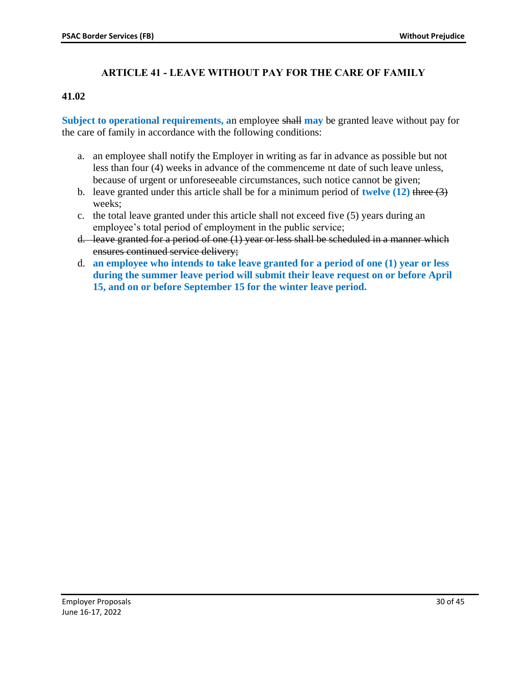# **ARTICLE 41 - LEAVE WITHOUT PAY FOR THE CARE OF FAMILY**

### <span id="page-29-0"></span>**41.02**

**Subject to operational requirements, a**n employee shall **may** be granted leave without pay for the care of family in accordance with the following conditions:

- a. an employee shall notify the Employer in writing as far in advance as possible but not less than four (4) weeks in advance of the commenceme nt date of such leave unless, because of urgent or unforeseeable circumstances, such notice cannot be given;
- b. leave granted under this article shall be for a minimum period of **twelve (12)** three (3) weeks;
- c. the total leave granted under this article shall not exceed five (5) years during an employee's total period of employment in the public service;
- d. leave granted for a period of one (1) year or less shall be scheduled in a manner which ensures continued service delivery;
- d. **an employee who intends to take leave granted for a period of one (1) year or less during the summer leave period will submit their leave request on or before April 15, and on or before September 15 for the winter leave period.**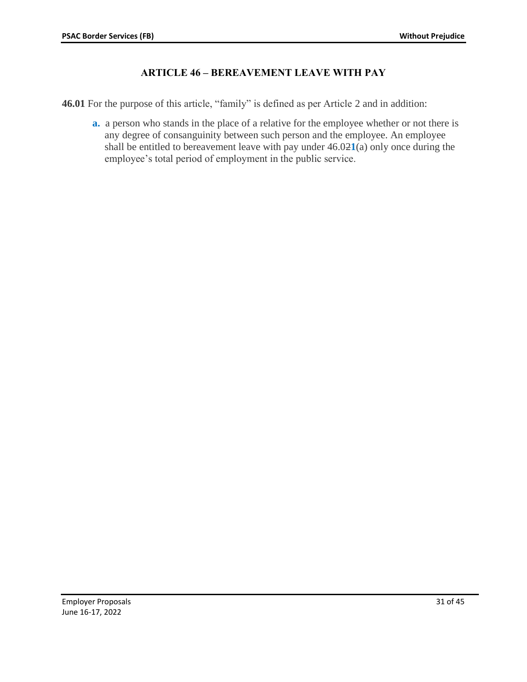# **ARTICLE 46 – BEREAVEMENT LEAVE WITH PAY**

<span id="page-30-0"></span>**46.01** For the purpose of this article, "family" is defined as per Article 2 and in addition:

**a.** a person who stands in the place of a relative for the employee whether or not there is any degree of consanguinity between such person and the employee. An employee shall be entitled to bereavement leave with pay under 46.02**1**(a) only once during the employee's total period of employment in the public service.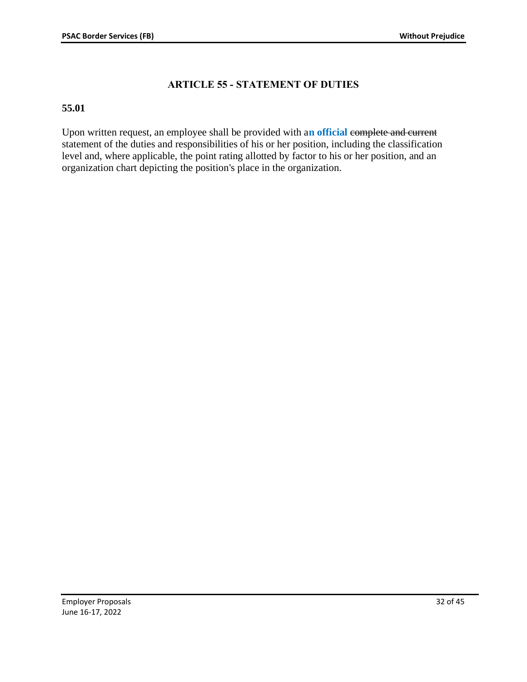# **ARTICLE 55 - STATEMENT OF DUTIES**

### <span id="page-31-0"></span>**55.01**

Upon written request, an employee shall be provided with a**n official** complete and current statement of the duties and responsibilities of his or her position, including the classification level and, where applicable, the point rating allotted by factor to his or her position, and an organization chart depicting the position's place in the organization.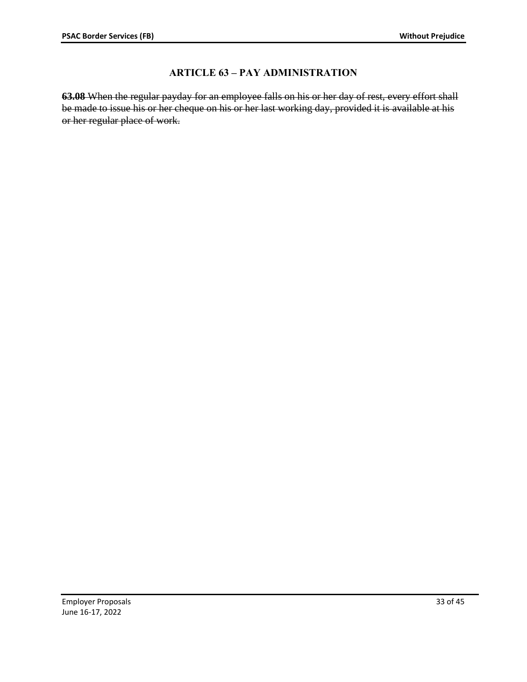# **ARTICLE 63 – PAY ADMINISTRATION**

<span id="page-32-0"></span>**63.08** When the regular payday for an employee falls on his or her day of rest, every effort shall be made to issue his or her cheque on his or her last working day, provided it is available at his or her regular place of work.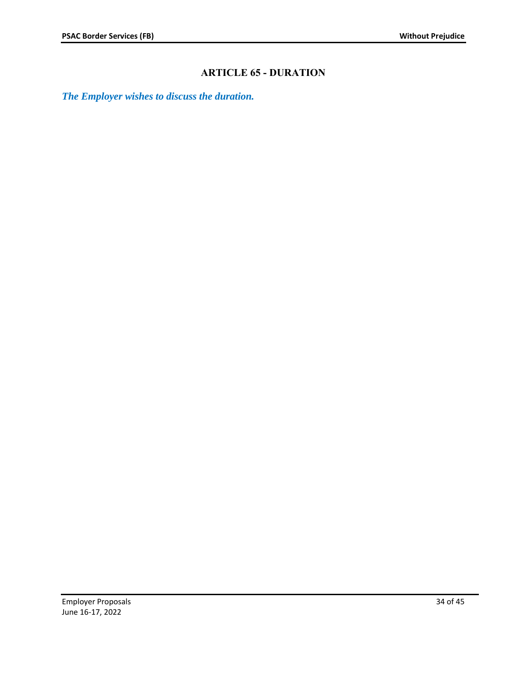# **ARTICLE 65 - DURATION**

<span id="page-33-0"></span>*The Employer wishes to discuss the duration.*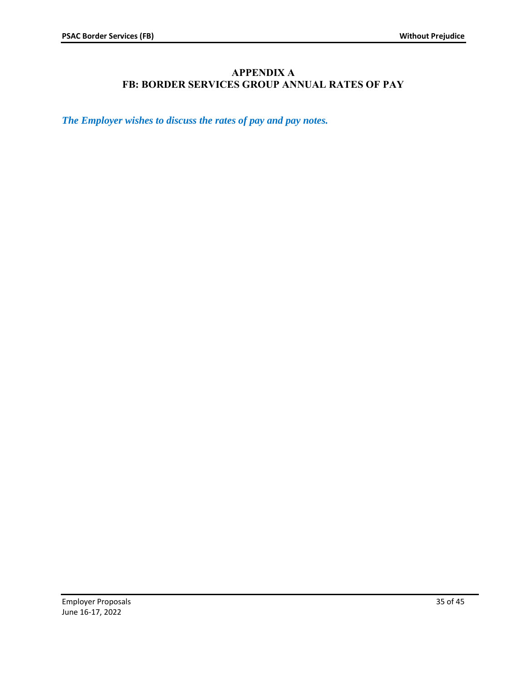# **APPENDIX A FB: BORDER SERVICES GROUP ANNUAL RATES OF PAY**

<span id="page-34-0"></span>*The Employer wishes to discuss the rates of pay and pay notes.*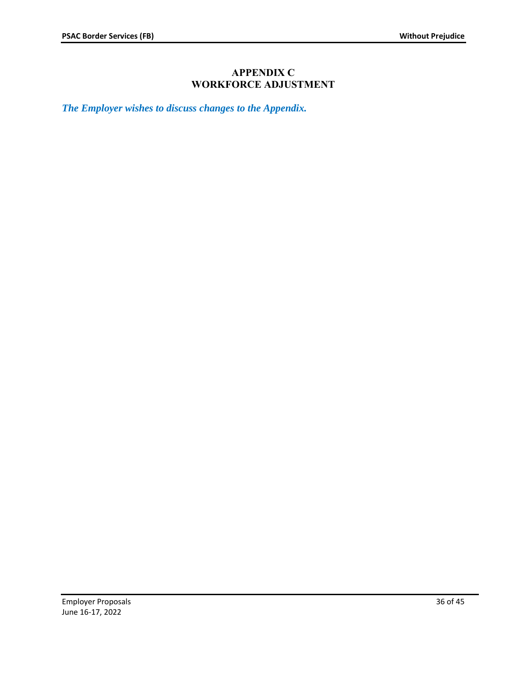# **APPENDIX C WORKFORCE ADJUSTMENT**

<span id="page-35-0"></span>*The Employer wishes to discuss changes to the Appendix.*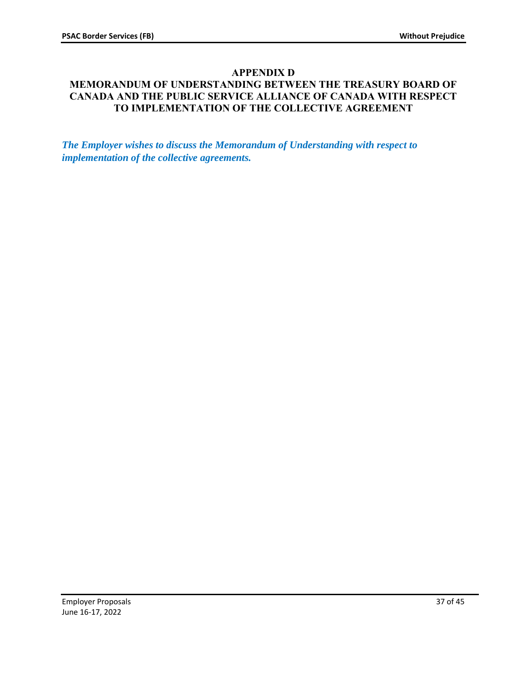# **APPENDIX D**

# <span id="page-36-0"></span>**MEMORANDUM OF UNDERSTANDING BETWEEN THE TREASURY BOARD OF CANADA AND THE PUBLIC SERVICE ALLIANCE OF CANADA WITH RESPECT TO IMPLEMENTATION OF THE COLLECTIVE AGREEMENT**

*The Employer wishes to discuss the Memorandum of Understanding with respect to implementation of the collective agreements.*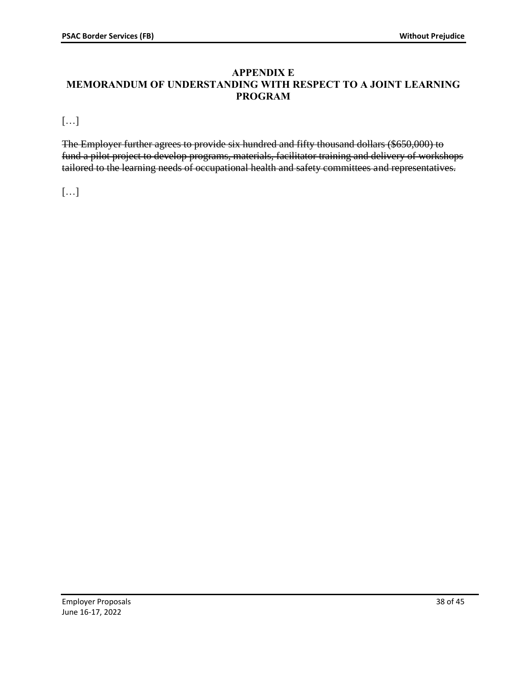### <span id="page-37-0"></span>**APPENDIX E MEMORANDUM OF UNDERSTANDING WITH RESPECT TO A JOINT LEARNING PROGRAM**

[…]

The Employer further agrees to provide six hundred and fifty thousand dollars (\$650,000) to fund a pilot project to develop programs, materials, facilitator training and delivery of workshops tailored to the learning needs of occupational health and safety committees and representatives.

[…]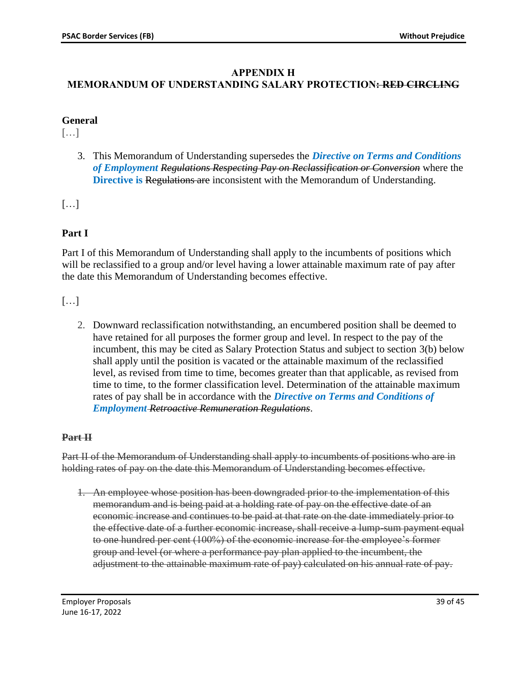### **APPENDIX H**

# <span id="page-38-0"></span>**MEMORANDUM OF UNDERSTANDING SALARY PROTECTION: RED CIRCLING**

# **General**

[…]

3. This Memorandum of Understanding supersedes the *Directive on Terms and Conditions of Employment Regulations Respecting Pay on Reclassification or Conversion* where the **Directive is Regulations are inconsistent with the Memorandum of Understanding.** 

[…]

# **Part I**

Part I of this Memorandum of Understanding shall apply to the incumbents of positions which will be reclassified to a group and/or level having a lower attainable maximum rate of pay after the date this Memorandum of Understanding becomes effective.

[…]

2. Downward reclassification notwithstanding, an encumbered position shall be deemed to have retained for all purposes the former group and level. In respect to the pay of the incumbent, this may be cited as Salary Protection Status and subject to section 3(b) below shall apply until the position is vacated or the attainable maximum of the reclassified level, as revised from time to time, becomes greater than that applicable, as revised from time to time, to the former classification level. Determination of the attainable maximum rates of pay shall be in accordance with the *Directive on Terms and Conditions of Employment Retroactive Remuneration Regulations*.

# **Part II**

Part II of the Memorandum of Understanding shall apply to incumbents of positions who are in holding rates of pay on the date this Memorandum of Understanding becomes effective.

1. An employee whose position has been downgraded prior to the implementation of this memorandum and is being paid at a holding rate of pay on the effective date of an economic increase and continues to be paid at that rate on the date immediately prior to the effective date of a further economic increase, shall receive a lump-sum payment equal to one hundred per cent (100%) of the economic increase for the employee's former group and level (or where a performance pay plan applied to the incumbent, the adjustment to the attainable maximum rate of pay) calculated on his annual rate of pay.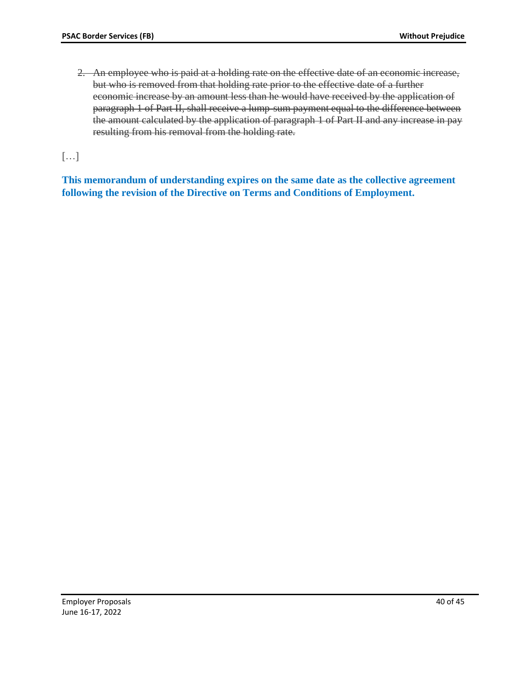2. An employee who is paid at a holding rate on the effective date of an economic increase, but who is removed from that holding rate prior to the effective date of a further economic increase by an amount less than he would have received by the application of paragraph 1 of Part II, shall receive a lump-sum payment equal to the difference between the amount calculated by the application of paragraph 1 of Part II and any increase in pay resulting from his removal from the holding rate.

[…]

**This memorandum of understanding expires on the same date as the collective agreement following the revision of the Directive on Terms and Conditions of Employment.**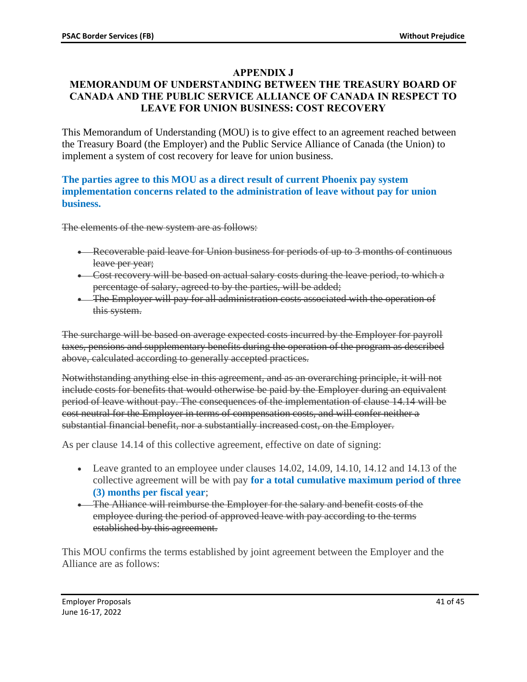# **APPENDIX J**

# <span id="page-40-0"></span>**MEMORANDUM OF UNDERSTANDING BETWEEN THE TREASURY BOARD OF CANADA AND THE PUBLIC SERVICE ALLIANCE OF CANADA IN RESPECT TO LEAVE FOR UNION BUSINESS: COST RECOVERY**

This Memorandum of Understanding (MOU) is to give effect to an agreement reached between the Treasury Board (the Employer) and the Public Service Alliance of Canada (the Union) to implement a system of cost recovery for leave for union business.

### **The parties agree to this MOU as a direct result of current Phoenix pay system implementation concerns related to the administration of leave without pay for union business.**

The elements of the new system are as follows:

- Recoverable paid leave for Union business for periods of up to 3 months of continuous leave per year;
- Cost recovery will be based on actual salary costs during the leave period, to which a percentage of salary, agreed to by the parties, will be added;
- The Employer will pay for all administration costs associated with the operation of this system.

The surcharge will be based on average expected costs incurred by the Employer for payroll taxes, pensions and supplementary benefits during the operation of the program as described above, calculated according to generally accepted practices.

Notwithstanding anything else in this agreement, and as an overarching principle, it will not include costs for benefits that would otherwise be paid by the Employer during an equivalent period of leave without pay. The consequences of the implementation of clause 14.14 will be cost neutral for the Employer in terms of compensation costs, and will confer neither a substantial financial benefit, nor a substantially increased cost, on the Employer.

As per clause 14.14 of this collective agreement, effective on date of signing:

- Leave granted to an employee under clauses 14.02, 14.09, 14.10, 14.12 and 14.13 of the collective agreement will be with pay **for a total cumulative maximum period of three (3) months per fiscal year**;
- The Alliance will reimburse the Employer for the salary and benefit costs of the employee during the period of approved leave with pay according to the terms established by this agreement.

This MOU confirms the terms established by joint agreement between the Employer and the Alliance are as follows: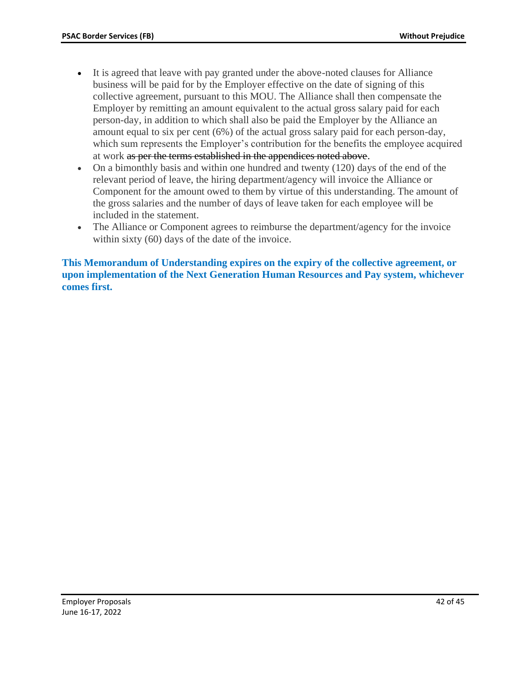- It is agreed that leave with pay granted under the above-noted clauses for Alliance business will be paid for by the Employer effective on the date of signing of this collective agreement, pursuant to this MOU. The Alliance shall then compensate the Employer by remitting an amount equivalent to the actual gross salary paid for each person-day, in addition to which shall also be paid the Employer by the Alliance an amount equal to six per cent (6%) of the actual gross salary paid for each person-day, which sum represents the Employer's contribution for the benefits the employee acquired at work as per the terms established in the appendices noted above.
- On a bimonthly basis and within one hundred and twenty (120) days of the end of the relevant period of leave, the hiring department/agency will invoice the Alliance or Component for the amount owed to them by virtue of this understanding. The amount of the gross salaries and the number of days of leave taken for each employee will be included in the statement.
- The Alliance or Component agrees to reimburse the department/agency for the invoice within sixty (60) days of the date of the invoice.

**This Memorandum of Understanding expires on the expiry of the collective agreement, or upon implementation of the Next Generation Human Resources and Pay system, whichever comes first.**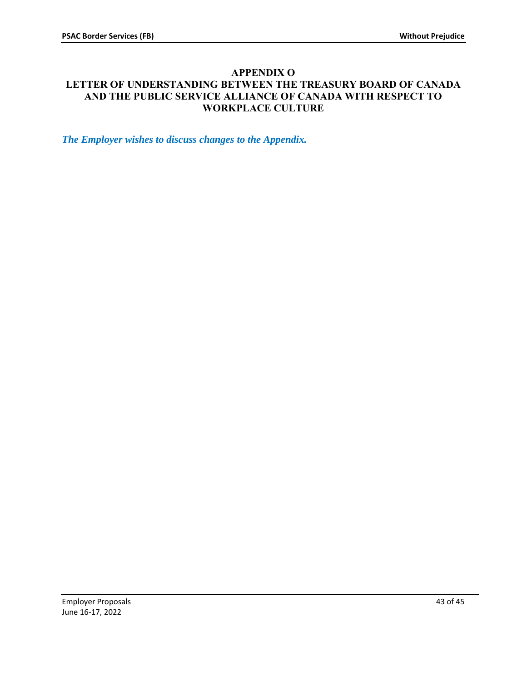### <span id="page-42-0"></span>**APPENDIX O LETTER OF UNDERSTANDING BETWEEN THE TREASURY BOARD OF CANADA AND THE PUBLIC SERVICE ALLIANCE OF CANADA WITH RESPECT TO WORKPLACE CULTURE**

*The Employer wishes to discuss changes to the Appendix.*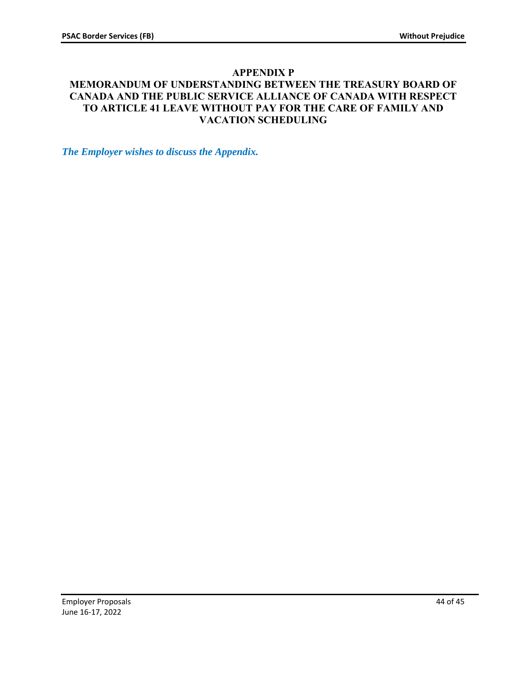# **APPENDIX P**

# <span id="page-43-0"></span>**MEMORANDUM OF UNDERSTANDING BETWEEN THE TREASURY BOARD OF CANADA AND THE PUBLIC SERVICE ALLIANCE OF CANADA WITH RESPECT TO ARTICLE 41 LEAVE WITHOUT PAY FOR THE CARE OF FAMILY AND VACATION SCHEDULING**

*The Employer wishes to discuss the Appendix.*